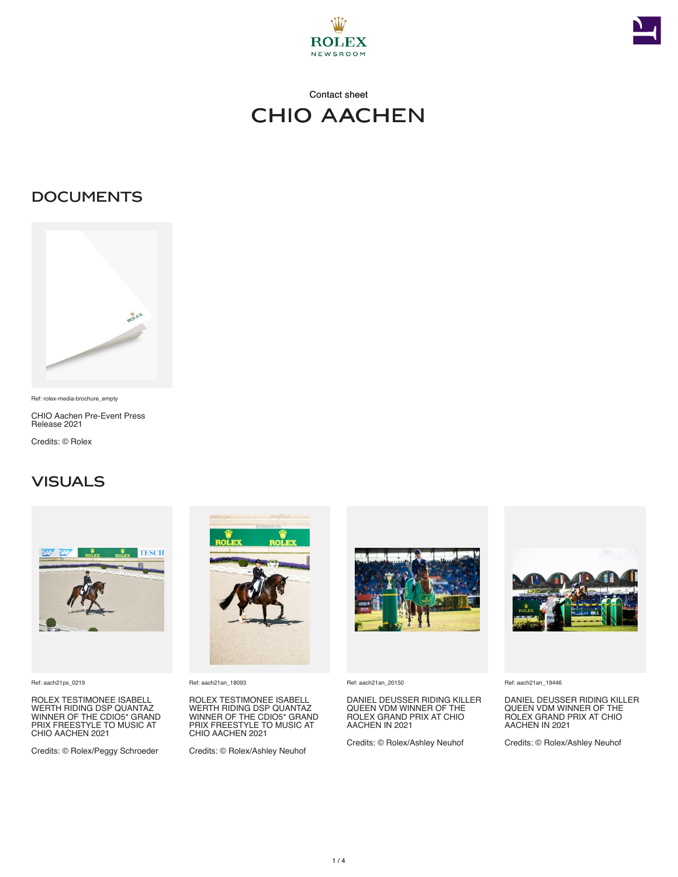



## Contact sheet CHIO Aachen

#### **DOCUMENTS**



Ref: rolex-media-brochure\_empty

CHIO Aachen Pre-Event Press Release 2021

Credits: © Rolex

#### **VISUALS**



Ref: aach21ps\_0219

ROLEX TESTIMONEE ISABELL WERTH RIDING DSP QUANTAZ WINNER OF THE CDIO5\* GRAND PRIX FREESTYLE TO MUSIC AT CHIO AACHEN 2021

Credits: © Rolex/Peggy Schroeder



Ref: aach21an\_18093

ROLEX TESTIMONEE ISABELL WERTH RIDING DSP QUANTAZ WINNER OF THE CDIO5\* GRAND PRIX FREESTYLE TO MUSIC AT CHIO AACHEN 2021

Credits: © Rolex/Ashley Neuhof



Ref: aach21an\_20150

DANIEL DEUSSER RIDING KILLER QUEEN VDM WINNER OF THE ROLEX GRAND PRIX AT CHIO AACHEN IN 2021

Credits: © Rolex/Ashley Neuhof



Ref: aach21an\_19446

DANIEL DEUSSER RIDING KILLER QUEEN VDM WINNER OF THE ROLEX GRAND PRIX AT CHIO AACHEN IN 2021

Credits: © Rolex/Ashley Neuhof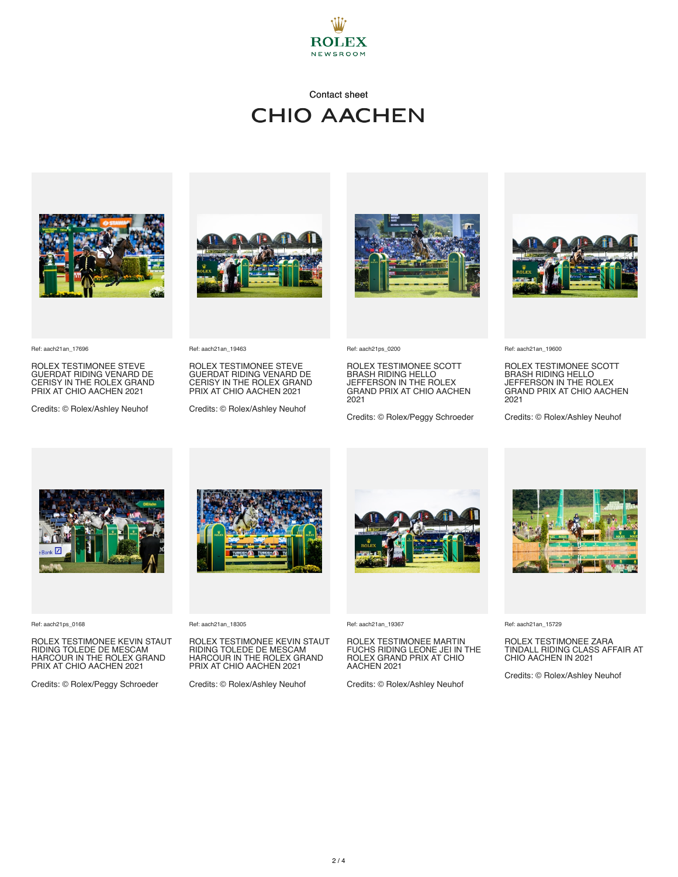

#### Contact sheet **CHIO AACHEN**







Ref: aach21an\_17696

ROLEX TESTIMONEE STEVE GUERDAT RIDING VENARD DE CERISY IN THE ROLEX GRAND PRIX AT CHIO AACHEN 2021

Credits: © Rolex/Ashley Neuhof

Ref: aach21an\_19463

ROLEX TESTIMONEE STEVE GUERDAT RIDING VENARD DE CERISY IN THE ROLEX GRAND PRIX AT CHIO AACHEN 2021

Credits: © Rolex/Ashley Neuhof



Ref: aach21ps\_0200

ROLEX TESTIMONEE SCOTT BRASH RIDING HELLO JEFFERSON IN THE ROLEX GRAND PRIX AT CHIO AACHEN 2021

Credits: © Rolex/Peggy Schroeder



Ref: aach21an\_19600

ROLEX TESTIMONEE SCOTT BRASH RIDING HELLO JEFFERSON IN THE ROLEX GRAND PRIX AT CHIO AACHEN 2021

Credits: © Rolex/Ashley Neuhof



Ref: aach21ps\_0168

ROLEX TESTIMONEE KEVIN STAUT RIDING TOLEDE DE MESCAM HARCOUR IN THE ROLEX GRAND PRIX AT CHIO AACHEN 2021

Credits: © Rolex/Peggy Schroeder



Ref: aach21an\_18305

ROLEX TESTIMONEE KEVIN STAUT RIDING TOLEDE DE MESCAM HARCOUR IN THE ROLEX GRAND PRIX AT CHIO AACHEN 2021

Credits: © Rolex/Ashley Neuhof



Ref: aach21an\_19367

ROLEX TESTIMONEE MARTIN FUCHS RIDING LEONE JEI IN THE ROLEX GRAND PRIX AT CHIO AACHEN 2021

Credits: © Rolex/Ashley Neuhof



Ref: aach21an\_15729

ROLEX TESTIMONEE ZARA TINDALL RIDING CLASS AFFAIR AT CHIO AACHEN IN 2021

Credits: © Rolex/Ashley Neuhof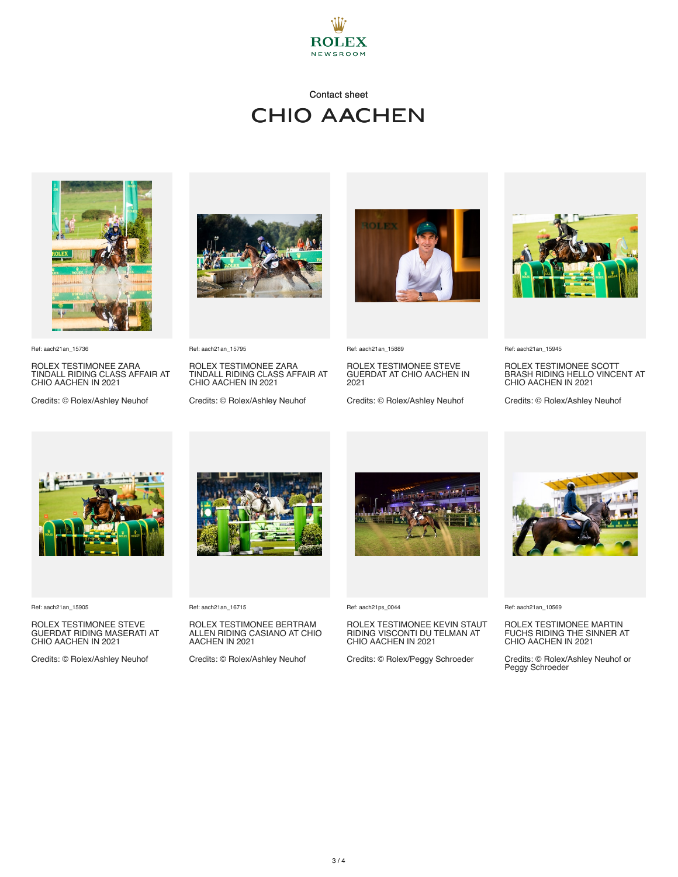

### Contact sheet **CHIO AACHEN**



Ref: aach21an\_15736

ROLEX TESTIMONEE ZARA TINDALL RIDING CLASS AFFAIR AT CHIO AACHEN IN 2021

Credits: © Rolex/Ashley Neuhof



Ref: aach21an\_15795

ROLEX TESTIMONEE ZARA TINDALL RIDING CLASS AFFAIR AT CHIO AACHEN IN 2021

Credits: © Rolex/Ashley Neuhof



Ref: aach21an\_15889

ROLEX TESTIMONEE STEVE GUERDAT AT CHIO AACHEN IN 2021

Credits: © Rolex/Ashley Neuhof



Ref: aach21an\_15945

ROLEX TESTIMONEE SCOTT BRASH RIDING HELLO VINCENT AT CHIO AACHEN IN 2021

Credits: © Rolex/Ashley Neuhof



Ref: aach21an\_15905

ROLEX TESTIMONEE STEVE GUERDAT RIDING MASERATI AT CHIO AACHEN IN 2021

Credits: © Rolex/Ashley Neuhof



Ref: aach21an\_16715

ROLEX TESTIMONEE BERTRAM ALLEN RIDING CASIANO AT CHIO AACHEN IN 2021

Credits: © Rolex/Ashley Neuhof



Ref: aach21ps\_0044

# ROLEX TESTIMONEE KEVIN STAUT RIDING VISCONTI DU TELMAN AT CHIO AACHEN IN 2021

Credits: © Rolex/Peggy Schroeder



Ref: aach21an\_10569

## ROLEX TESTIMONEE MARTIN FUCHS RIDING THE SINNER AT CHIO AACHEN IN 2021

Credits: © Rolex/Ashley Neuhof or Peggy Schroeder